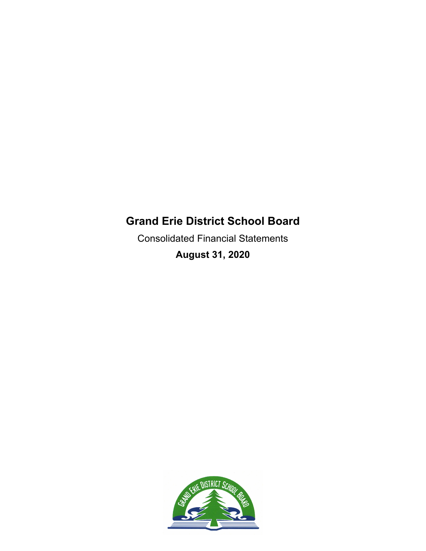Consolidated Financial Statements **August 31, 2020**

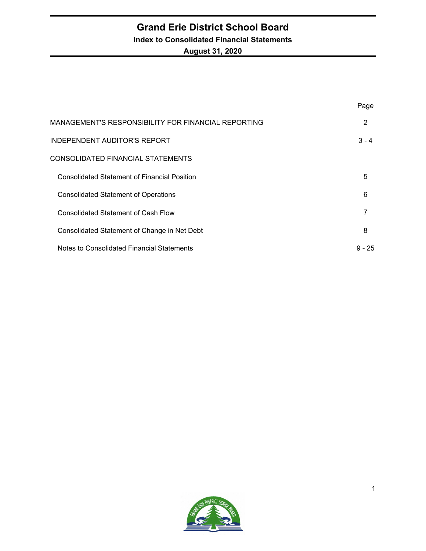# **Grand Erie District School Board Index to Consolidated Financial Statements August 31, 2020**

|                                                     | Page     |
|-----------------------------------------------------|----------|
| MANAGEMENT'S RESPONSIBILITY FOR FINANCIAL REPORTING | 2        |
| <b>INDEPENDENT AUDITOR'S REPORT</b>                 | $3 - 4$  |
| CONSOLIDATED FINANCIAL STATEMENTS                   |          |
| <b>Consolidated Statement of Financial Position</b> | 5        |
| <b>Consolidated Statement of Operations</b>         | 6        |
| <b>Consolidated Statement of Cash Flow</b>          | 7        |
| Consolidated Statement of Change in Net Debt        | 8        |
| Notes to Consolidated Financial Statements          | $9 - 25$ |

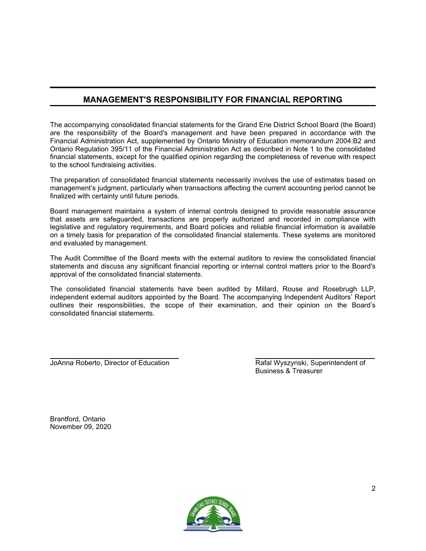# **MANAGEMENT'S RESPONSIBILITY FOR FINANCIAL REPORTING**

The accompanying consolidated financial statements for the Grand Erie District School Board (the Board) are the responsibility of the Board's management and have been prepared in accordance with the Financial Administration Act, supplemented by Ontario Ministry of Education memorandum 2004:B2 and Ontario Regulation 395/11 of the Financial Administration Act as described in Note 1 to the consolidated financial statements, except for the qualified opinion regarding the completeness of revenue with respect to the school fundraising activities.

The preparation of consolidated financial statements necessarily involves the use of estimates based on management's judgment, particularly when transactions affecting the current accounting period cannot be finalized with certainty until future periods.

Board management maintains a system of internal controls designed to provide reasonable assurance that assets are safeguarded, transactions are properly authorized and recorded in compliance with legislative and regulatory requirements, and Board policies and reliable financial information is available on a timely basis for preparation of the consolidated financial statements. These systems are monitored and evaluated by management.

The Audit Committee of the Board meets with the external auditors to review the consolidated financial statements and discuss any significant financial reporting or internal control matters prior to the Board's approval of the consolidated financial statements.

The consolidated financial statements have been audited by Millard, Rouse and Rosebrugh LLP, independent external auditors appointed by the Board. The accompanying Independent Auditors' Report outlines their responsibilities, the scope of their examination, and their opinion on the Board's consolidated financial statements.

JoAnna Roberto, Director of Education **Rafal Wyszynski, Superintendent of** 

Business & Treasurer

Brantford, Ontario November 09, 2020

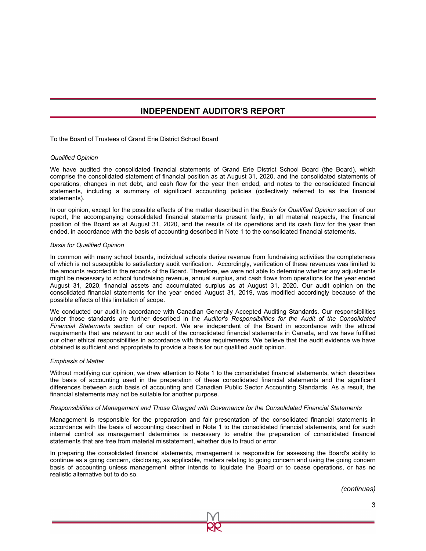# **INDEPENDENT AUDITOR'S REPORT**

To the Board of Trustees of Grand Erie District School Board

#### *Qualified Opinion*

We have audited the consolidated financial statements of Grand Erie District School Board (the Board), which comprise the consolidated statement of financial position as at August 31, 2020, and the consolidated statements of operations, changes in net debt, and cash flow for the year then ended, and notes to the consolidated financial statements, including a summary of significant accounting policies (collectively referred to as the financial statements).

In our opinion, except for the possible effects of the matter described in the *Basis for Qualified Opinion* section of our report, the accompanying consolidated financial statements present fairly, in all material respects, the financial position of the Board as at August 31, 2020, and the results of its operations and its cash flow for the year then ended, in accordance with the basis of accounting described in Note 1 to the consolidated financial statements.

#### *Basis for Qualified Opinion*

In common with many school boards, individual schools derive revenue from fundraising activities the completeness of which is not susceptible to satisfactory audit verification. Accordingly, verification of these revenues was limited to the amounts recorded in the records of the Board. Therefore, we were not able to determine whether any adjustments might be necessary to school fundraising revenue, annual surplus, and cash flows from operations for the year ended August 31, 2020, financial assets and accumulated surplus as at August 31, 2020. Our audit opinion on the consolidated financial statements for the year ended August 31, 2019, was modified accordingly because of the possible effects of this limitation of scope.

We conducted our audit in accordance with Canadian Generally Accepted Auditing Standards. Our responsibilities under those standards are further described in the *Auditor's Responsibilities for the Audit of the Consolidated Financial Statements* section of our report. We are independent of the Board in accordance with the ethical requirements that are relevant to our audit of the consolidated financial statements in Canada, and we have fulfilled our other ethical responsibilities in accordance with those requirements. We believe that the audit evidence we have obtained is sufficient and appropriate to provide a basis for our qualified audit opinion.

#### *Emphasis of Matter*

Without modifying our opinion, we draw attention to Note 1 to the consolidated financial statements, which describes the basis of accounting used in the preparation of these consolidated financial statements and the significant differences between such basis of accounting and Canadian Public Sector Accounting Standards. As a result, the financial statements may not be suitable for another purpose.

#### *Responsibilities of Management and Those Charged with Governance for the Consolidated Financial Statements*

Management is responsible for the preparation and fair presentation of the consolidated financial statements in accordance with the basis of accounting described in Note 1 to the consolidated financial statements, and for such internal control as management determines is necessary to enable the preparation of consolidated financial statements that are free from material misstatement, whether due to fraud or error.

In preparing the consolidated financial statements, management is responsible for assessing the Board's ability to continue as a going concern, disclosing, as applicable, matters relating to going concern and using the going concern basis of accounting unless management either intends to liquidate the Board or to cease operations, or has no realistic alternative but to do so.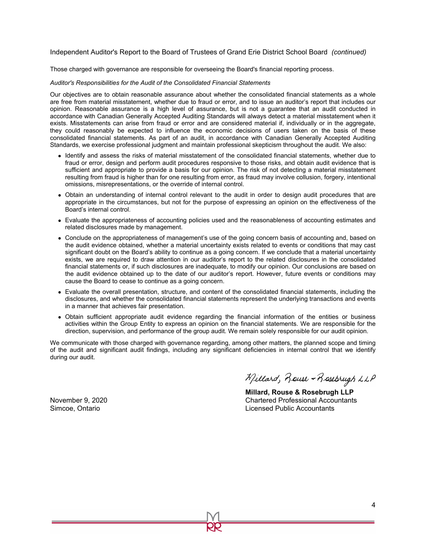#### Independent Auditor's Report to the Board of Trustees of Grand Erie District School Board *(continued)*

Those charged with governance are responsible for overseeing the Board's financial reporting process.

#### *Auditor's Responsibilities for the Audit of the Consolidated Financial Statements*

Our objectives are to obtain reasonable assurance about whether the consolidated financial statements as a whole are free from material misstatement, whether due to fraud or error, and to issue an auditor's report that includes our opinion. Reasonable assurance is a high level of assurance, but is not a guarantee that an audit conducted in accordance with Canadian Generally Accepted Auditing Standards will always detect a material misstatement when it exists. Misstatements can arise from fraud or error and are considered material if, individually or in the aggregate, they could reasonably be expected to influence the economic decisions of users taken on the basis of these consolidated financial statements. As part of an audit, in accordance with Canadian Generally Accepted Auditing Standards, we exercise professional judgment and maintain professional skepticism throughout the audit. We also:

- Identify and assess the risks of material misstatement of the consolidated financial statements, whether due to fraud or error, design and perform audit procedures responsive to those risks, and obtain audit evidence that is sufficient and appropriate to provide a basis for our opinion. The risk of not detecting a material misstatement resulting from fraud is higher than for one resulting from error, as fraud may involve collusion, forgery, intentional omissions, misrepresentations, or the override of internal control.
- Obtain an understanding of internal control relevant to the audit in order to design audit procedures that are appropriate in the circumstances, but not for the purpose of expressing an opinion on the effectiveness of the Board's internal control.
- Evaluate the appropriateness of accounting policies used and the reasonableness of accounting estimates and related disclosures made by management.
- Conclude on the appropriateness of management's use of the going concern basis of accounting and, based on the audit evidence obtained, whether a material uncertainty exists related to events or conditions that may cast significant doubt on the Board's ability to continue as a going concern. If we conclude that a material uncertainty exists, we are required to draw attention in our auditor's report to the related disclosures in the consolidated financial statements or, if such disclosures are inadequate, to modify our opinion. Our conclusions are based on the audit evidence obtained up to the date of our auditor's report. However, future events or conditions may cause the Board to cease to continue as a going concern.
- Evaluate the overall presentation, structure, and content of the consolidated financial statements, including the disclosures, and whether the consolidated financial statements represent the underlying transactions and events in a manner that achieves fair presentation.
- Obtain sufficient appropriate audit evidence regarding the financial information of the entities or business activities within the Group Entity to express an opinion on the financial statements. We are responsible for the direction, supervision, and performance of the group audit. We remain solely responsible for our audit opinion.

We communicate with those charged with governance regarding, among other matters, the planned scope and timing of the audit and significant audit findings, including any significant deficiencies in internal control that we identify during our audit.

Millard, Rouse - Rosebrugh LLP

**Millard, Rouse & Rosebrugh LLP**  November 9, 2020 Chartered Professional Accountants Simcoe, Ontario Licensed Public Accountants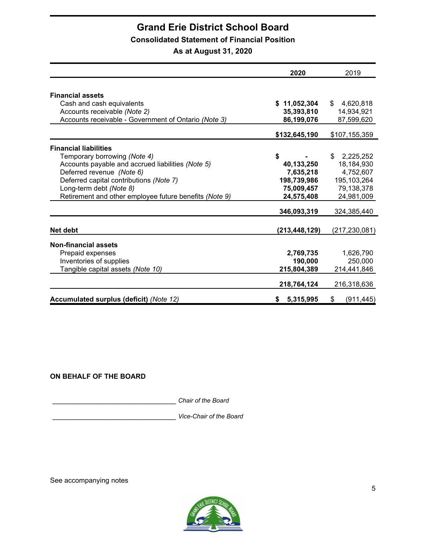# **Consolidated Statement of Financial Position**

**As at August 31, 2020**

|                                                        | 2020            | 2019             |
|--------------------------------------------------------|-----------------|------------------|
|                                                        |                 |                  |
| <b>Financial assets</b>                                |                 |                  |
| Cash and cash equivalents                              | \$11,052,304    | \$<br>4,620,818  |
| Accounts receivable (Note 2)                           | 35,393,810      | 14,934,921       |
| Accounts receivable - Government of Ontario (Note 3)   | 86,199,076      | 87,599,620       |
|                                                        | \$132,645,190   | \$107,155,359    |
| <b>Financial liabilities</b>                           |                 |                  |
| Temporary borrowing (Note 4)                           | \$              | 2,225,252<br>\$  |
| Accounts payable and accrued liabilities (Note 5)      | 40,133,250      | 18,184,930       |
| Deferred revenue (Note 6)                              | 7,635,218       | 4,752,607        |
| Deferred capital contributions (Note 7)                | 198,739,986     | 195, 103, 264    |
| Long-term debt (Note 8)                                | 75,009,457      | 79,138,378       |
| Retirement and other employee future benefits (Note 9) | 24,575,408      | 24,981,009       |
|                                                        | 346,093,319     | 324,385,440      |
|                                                        |                 |                  |
| Net debt                                               | (213, 448, 129) | (217, 230, 081)  |
| <b>Non-financial assets</b>                            |                 |                  |
| Prepaid expenses                                       | 2,769,735       | 1,626,790        |
| Inventories of supplies                                | 190,000         | 250,000          |
| Tangible capital assets (Note 10)                      | 215,804,389     | 214,441,846      |
|                                                        | 218,764,124     | 216,318,636      |
| Accumulated surplus (deficit) (Note 12)                | 5,315,995<br>S. | \$<br>(911, 445) |

# **ON BEHALF OF THE BOARD**

\_\_\_\_\_\_\_\_\_\_\_\_\_\_\_\_\_\_\_\_\_\_\_\_\_\_\_\_\_ *Chair of the Board*

\_\_\_\_\_\_\_\_\_\_\_\_\_\_\_\_\_\_\_\_\_\_\_\_\_\_\_\_\_ *Vice-Chair of the Board*

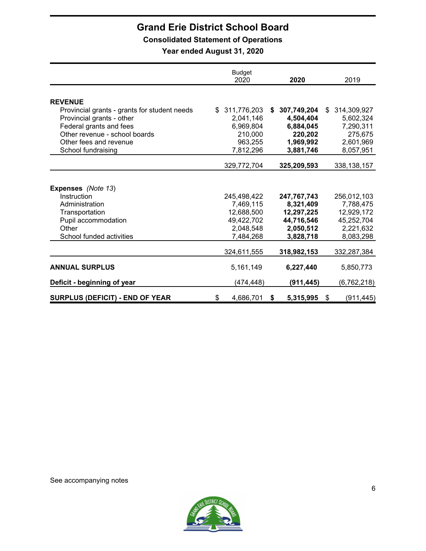**Consolidated Statement of Operations**

**Year ended August 31, 2020**

|                                              | <b>Budget</b><br>2020 | 2020              | 2019              |
|----------------------------------------------|-----------------------|-------------------|-------------------|
|                                              |                       |                   |                   |
| <b>REVENUE</b>                               |                       |                   |                   |
| Provincial grants - grants for student needs | 311,776,203<br>\$.    | 307,749,204<br>\$ | 314,309,927<br>\$ |
| Provincial grants - other                    | 2,041,146             | 4,504,404         | 5,602,324         |
| Federal grants and fees                      | 6,969,804             | 6,884,045         | 7,290,311         |
| Other revenue - school boards                | 210,000               | 220,202           | 275,675           |
| Other fees and revenue                       | 963,255               | 1,969,992         | 2,601,969         |
| School fundraising                           | 7,812,296             | 3,881,746         | 8,057,951         |
|                                              |                       |                   |                   |
|                                              | 329,772,704           | 325,209,593       | 338, 138, 157     |
|                                              |                       |                   |                   |
| <b>Expenses</b> (Note 13)                    |                       |                   |                   |
| Instruction                                  | 245,498,422           | 247,767,743       | 256,012,103       |
| Administration                               | 7,469,115             | 8,321,409         | 7,788,475         |
| Transportation                               | 12,688,500            | 12,297,225        | 12,929,172        |
| Pupil accommodation                          | 49,422,702            | 44,716,546        | 45,252,704        |
| Other                                        | 2,048,548             | 2,050,512         | 2,221,632         |
| School funded activities                     | 7,484,268             | 3,828,718         | 8,083,298         |
|                                              |                       |                   |                   |
|                                              | 324,611,555           | 318,982,153       | 332,287,384       |
| <b>ANNUAL SURPLUS</b>                        | 5,161,149             | 6,227,440         | 5,850,773         |
| Deficit - beginning of year                  | (474,448)             | (911, 445)        | (6, 762, 218)     |
| <b>SURPLUS (DEFICIT) - END OF YEAR</b>       | \$<br>4,686,701       | 5,315,995<br>S    | \$<br>(911, 445)  |

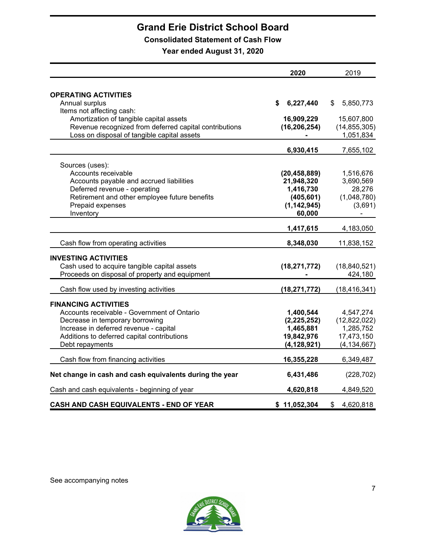# **Consolidated Statement of Cash Flow**

**Year ended August 31, 2020**

|                                                         | 2020            | 2019            |
|---------------------------------------------------------|-----------------|-----------------|
| <b>OPERATING ACTIVITIES</b>                             |                 |                 |
| Annual surplus                                          | 6,227,440<br>\$ | \$<br>5,850,773 |
| Items not affecting cash:                               |                 |                 |
| Amortization of tangible capital assets                 | 16,909,229      | 15,607,800      |
| Revenue recognized from deferred capital contributions  | (16, 206, 254)  | (14, 855, 305)  |
| Loss on disposal of tangible capital assets             |                 | 1,051,834       |
|                                                         | 6,930,415       | 7,655,102       |
| Sources (uses):                                         |                 |                 |
| Accounts receivable                                     | (20, 458, 889)  | 1,516,676       |
| Accounts payable and accrued liabilities                | 21,948,320      | 3,690,569       |
| Deferred revenue - operating                            | 1,416,730       | 28,276          |
| Retirement and other employee future benefits           | (405, 601)      | (1,048,780)     |
| Prepaid expenses                                        | (1, 142, 945)   | (3,691)         |
| Inventory                                               | 60,000          |                 |
|                                                         | 1,417,615       | 4,183,050       |
| Cash flow from operating activities                     | 8,348,030       | 11,838,152      |
| <b>INVESTING ACTIVITIES</b>                             |                 |                 |
| Cash used to acquire tangible capital assets            | (18, 271, 772)  | (18, 840, 521)  |
| Proceeds on disposal of property and equipment          |                 | 424,180         |
|                                                         |                 |                 |
| Cash flow used by investing activities                  | (18, 271, 772)  | (18, 416, 341)  |
| <b>FINANCING ACTIVITIES</b>                             |                 |                 |
| Accounts receivable - Government of Ontario             | 1,400,544       | 4,547,274       |
| Decrease in temporary borrowing                         | (2, 225, 252)   | (12,822,022)    |
| Increase in deferred revenue - capital                  | 1,465,881       | 1,285,752       |
| Additions to deferred capital contributions             | 19,842,976      | 17,473,150      |
| Debt repayments                                         | (4, 128, 921)   | (4, 134, 667)   |
| Cash flow from financing activities                     | 16,355,228      | 6,349,487       |
| Net change in cash and cash equivalents during the year | 6,431,486       | (228, 702)      |
| Cash and cash equivalents - beginning of year           | 4,620,818       | 4,849,520       |
| CASH AND CASH EQUIVALENTS - END OF YEAR                 | \$11,052,304    | \$<br>4,620,818 |

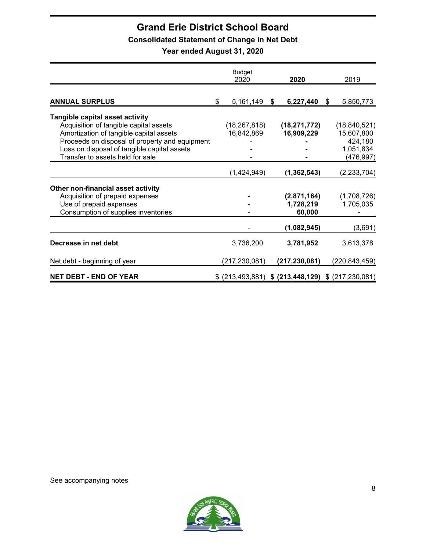# **Consolidated Statement of Change in Net Debt**

**Year ended August 31, 2020**

|                                                | Budget<br>2020                                        |   | 2020            | 2019            |
|------------------------------------------------|-------------------------------------------------------|---|-----------------|-----------------|
|                                                |                                                       |   |                 |                 |
| <b>ANNUAL SURPLUS</b>                          | \$<br>5,161,149                                       | S | 6,227,440       | \$<br>5,850,773 |
| Tangible capital asset activity                |                                                       |   |                 |                 |
| Acquisition of tangible capital assets         | (18,267,818)                                          |   | (18, 271, 772)  | (18, 840, 521)  |
| Amortization of tangible capital assets        | 16,842,869                                            |   | 16,909,229      | 15,607,800      |
| Proceeds on disposal of property and equipment |                                                       |   |                 | 424,180         |
| Loss on disposal of tangible capital assets    |                                                       |   |                 | 1,051,834       |
| Transfer to assets held for sale               |                                                       |   |                 | (476, 997)      |
|                                                | (1,424,949)                                           |   | (1, 362, 543)   | (2, 233, 704)   |
| Other non-financial asset activity             |                                                       |   |                 |                 |
| Acquisition of prepaid expenses                |                                                       |   | (2,871,164)     | (1,708,726)     |
| Use of prepaid expenses                        |                                                       |   | 1,728,219       | 1,705,035       |
| Consumption of supplies inventories            |                                                       |   | 60,000          |                 |
|                                                |                                                       |   | (1,082,945)     | (3,691)         |
| Decrease in net debt                           | 3,736,200                                             |   | 3,781,952       | 3,613,378       |
| Net debt - beginning of year                   | (217, 230, 081)                                       |   | (217, 230, 081) | (220, 843, 459) |
| <b>NET DEBT - END OF YEAR</b>                  | $$$ (213,493,881) $$$ (213,448,129) $$$ (217,230,081) |   |                 |                 |

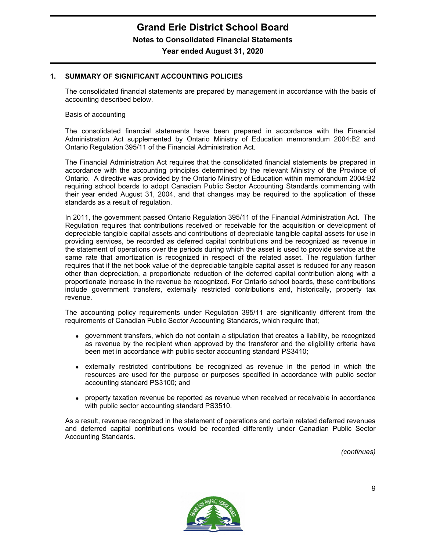#### **1. SUMMARY OF SIGNIFICANT ACCOUNTING POLICIES**

The consolidated financial statements are prepared by management in accordance with the basis of accounting described below.

#### Basis of accounting

The consolidated financial statements have been prepared in accordance with the Financial Administration Act supplemented by Ontario Ministry of Education memorandum 2004:B2 and Ontario Regulation 395/11 of the Financial Administration Act.

The Financial Administration Act requires that the consolidated financial statements be prepared in accordance with the accounting principles determined by the relevant Ministry of the Province of Ontario. A directive was provided by the Ontario Ministry of Education within memorandum 2004:B2 requiring school boards to adopt Canadian Public Sector Accounting Standards commencing with their year ended August 31, 2004, and that changes may be required to the application of these standards as a result of regulation.

In 2011, the government passed Ontario Regulation 395/11 of the Financial Administration Act. The Regulation requires that contributions received or receivable for the acquisition or development of depreciable tangible capital assets and contributions of depreciable tangible capital assets for use in providing services, be recorded as deferred capital contributions and be recognized as revenue in the statement of operations over the periods during which the asset is used to provide service at the same rate that amortization is recognized in respect of the related asset. The regulation further requires that if the net book value of the depreciable tangible capital asset is reduced for any reason other than depreciation, a proportionate reduction of the deferred capital contribution along with a proportionate increase in the revenue be recognized. For Ontario school boards, these contributions include government transfers, externally restricted contributions and, historically, property tax revenue.

The accounting policy requirements under Regulation 395/11 are significantly different from the requirements of Canadian Public Sector Accounting Standards, which require that;

- government transfers, which do not contain a stipulation that creates a liability, be recognized as revenue by the recipient when approved by the transferor and the eligibility criteria have been met in accordance with public sector accounting standard PS3410;
- externally restricted contributions be recognized as revenue in the period in which the resources are used for the purpose or purposes specified in accordance with public sector accounting standard PS3100; and
- property taxation revenue be reported as revenue when received or receivable in accordance with public sector accounting standard PS3510.

As a result, revenue recognized in the statement of operations and certain related deferred revenues and deferred capital contributions would be recorded differently under Canadian Public Sector Accounting Standards.

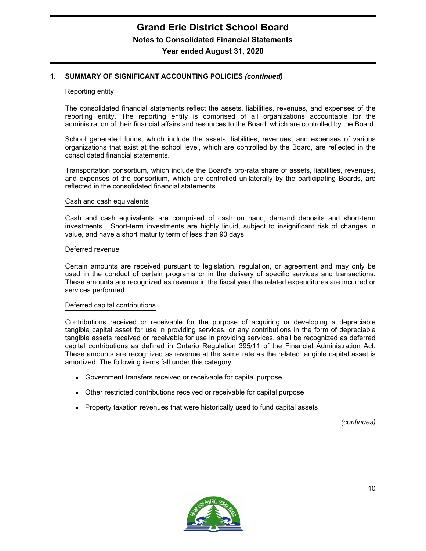#### Reporting entity

The consolidated financial statements reflect the assets, liabilities, revenues, and expenses of the reporting entity. The reporting entity is comprised of all organizations accountable for the administration of their financial affairs and resources to the Board, which are controlled by the Board.

School generated funds, which include the assets, liabilities, revenues, and expenses of various organizations that exist at the school level, which are controlled by the Board, are reflected in the consolidated financial statements.

Transportation consortium, which include the Board's pro-rata share of assets, liabilities, revenues, and expenses of the consortium, which are controlled unilaterally by the participating Boards, are reflected in the consolidated financial statements.

#### Cash and cash equivalents

Cash and cash equivalents are comprised of cash on hand, demand deposits and short-term investments. Short-term investments are highly liquid, subject to insignificant risk of changes in value, and have a short maturity term of less than 90 days.

#### Deferred revenue

Certain amounts are received pursuant to legislation, regulation, or agreement and may only be used in the conduct of certain programs or in the delivery of specific services and transactions. These amounts are recognized as revenue in the fiscal year the related expenditures are incurred or services performed.

#### Deferred capital contributions

Contributions received or receivable for the purpose of acquiring or developing a depreciable tangible capital asset for use in providing services, or any contributions in the form of depreciable tangible assets received or receivable for use in providing services, shall be recognized as deferred capital contributions as defined in Ontario Regulation 395/11 of the Financial Administration Act. These amounts are recognized as revenue at the same rate as the related tangible capital asset is amortized. The following items fall under this category:

- Government transfers received or receivable for capital purpose
- Other restricted contributions received or receivable for capital purpose
- Property taxation revenues that were historically used to fund capital assets

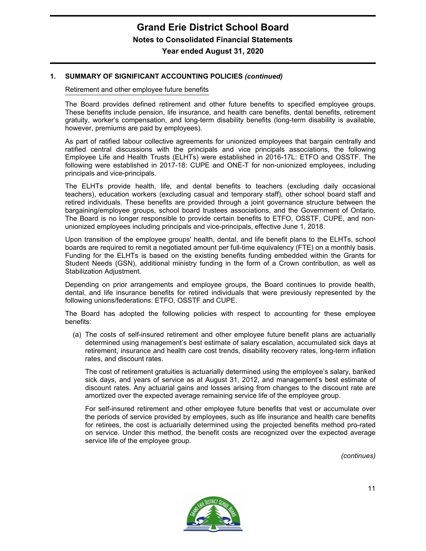Retirement and other employee future benefits

The Board provides defined retirement and other future benefits to specified employee groups. These benefits include pension, life insurance, and health care benefits, dental benefits, retirement gratuity, worker's compensation, and long-term disability benefits (long-term disability is available, however, premiums are paid by employees).

As part of ratified labour collective agreements for unionized employees that bargain centrally and ratified central discussions with the principals and vice principals associations, the following Employee Life and Health Trusts (ELHTs) were established in 2016-17L: ETFO and OSSTF. The following were established in 2017-18: CUPE and ONE-T for non-unionized employees, including principals and vice-principals.

The ELHTs provide health, life, and dental benefits to teachers (excluding daily occasional teachers), education workers (excluding casual and temporary staff), other school board staff and retired individuals. These benefits are provided through a joint governance structure between the bargaining/employee groups, school board trustees associations, and the Government of Ontario. The Board is no longer responsible to provide certain benefits to ETFO, OSSTF, CUPE, and nonunionized employees including principals and vice-principals, effective June 1, 2018.

Upon transition of the employee groups' health, dental, and life benefit plans to the ELHTs, school boards are required to remit a negotiated amount per full-time equivalency (FTE) on a monthly basis. Funding for the ELHTs is based on the existing benefits funding embedded within the Grants for Student Needs (GSN), additional ministry funding in the form of a Crown contribution, as well as Stabilization Adjustment.

Depending on prior arrangements and employee groups, the Board continues to provide health, dental, and life insurance benefits for retired individuals that were previously represented by the following unions/federations: ETFO, OSSTF and CUPE.

The Board has adopted the following policies with respect to accounting for these employee benefits:

(a) The costs of self-insured retirement and other employee future benefit plans are actuarially determined using management's best estimate of salary escalation, accumulated sick days at retirement, insurance and health care cost trends, disability recovery rates, long-term inflation rates, and discount rates.

The cost of retirement gratuities is actuarially determined using the employee's salary, banked sick days, and years of service as at August 31, 2012, and management's best estimate of discount rates. Any actuarial gains and losses arising from changes to the discount rate are amortized over the expected average remaining service life of the employee group.

For self-insured retirement and other employee future benefits that vest or accumulate over the periods of service provided by employees, such as life insurance and health care benefits for retirees, the cost is actuarially determined using the projected benefits method pro-rated on service. Under this method, the benefit costs are recognized over the expected average service life of the employee group.

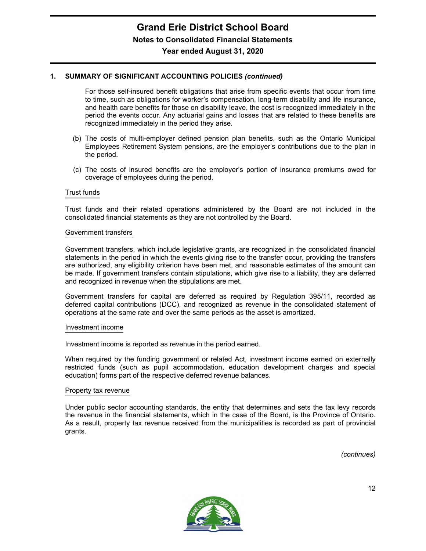For those self-insured benefit obligations that arise from specific events that occur from time to time, such as obligations for worker's compensation, long-term disability and life insurance, and health care benefits for those on disability leave, the cost is recognized immediately in the period the events occur. Any actuarial gains and losses that are related to these benefits are recognized immediately in the period they arise.

- (b) The costs of multi-employer defined pension plan benefits, such as the Ontario Municipal Employees Retirement System pensions, are the employer's contributions due to the plan in the period.
- (c) The costs of insured benefits are the employer's portion of insurance premiums owed for coverage of employees during the period.

#### Trust funds

Trust funds and their related operations administered by the Board are not included in the consolidated financial statements as they are not controlled by the Board.

#### Government transfers

Government transfers, which include legislative grants, are recognized in the consolidated financial statements in the period in which the events giving rise to the transfer occur, providing the transfers are authorized, any eligibility criterion have been met, and reasonable estimates of the amount can be made. If government transfers contain stipulations, which give rise to a liability, they are deferred and recognized in revenue when the stipulations are met.

Government transfers for capital are deferred as required by Regulation 395/11, recorded as deferred capital contributions (DCC), and recognized as revenue in the consolidated statement of operations at the same rate and over the same periods as the asset is amortized.

#### Investment income

Investment income is reported as revenue in the period earned.

When required by the funding government or related Act, investment income earned on externally restricted funds (such as pupil accommodation, education development charges and special education) forms part of the respective deferred revenue balances.

#### Property tax revenue

Under public sector accounting standards, the entity that determines and sets the tax levy records the revenue in the financial statements, which in the case of the Board, is the Province of Ontario. As a result, property tax revenue received from the municipalities is recorded as part of provincial grants.

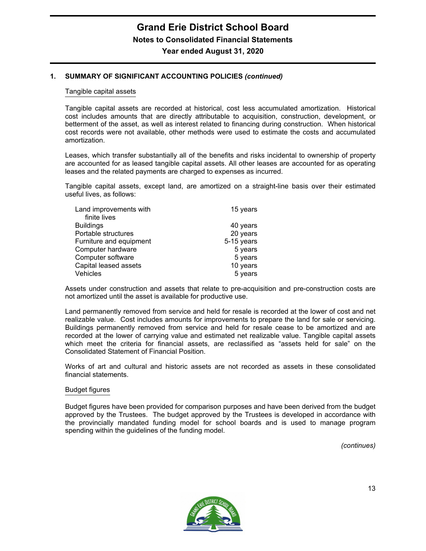#### Tangible capital assets

Tangible capital assets are recorded at historical, cost less accumulated amortization. Historical cost includes amounts that are directly attributable to acquisition, construction, development, or betterment of the asset, as well as interest related to financing during construction. When historical cost records were not available, other methods were used to estimate the costs and accumulated amortization.

Leases, which transfer substantially all of the benefits and risks incidental to ownership of property are accounted for as leased tangible capital assets. All other leases are accounted for as operating leases and the related payments are charged to expenses as incurred.

Tangible capital assets, except land, are amortized on a straight-line basis over their estimated useful lives, as follows:

| Land improvements with  | 15 years   |
|-------------------------|------------|
| finite lives            |            |
| <b>Buildings</b>        | 40 years   |
| Portable structures     | 20 years   |
| Furniture and equipment | 5-15 years |
| Computer hardware       | 5 years    |
| Computer software       | 5 years    |
| Capital leased assets   | 10 years   |
| Vehicles                | 5 years    |

Assets under construction and assets that relate to pre-acquisition and pre-construction costs are not amortized until the asset is available for productive use.

Land permanently removed from service and held for resale is recorded at the lower of cost and net realizable value. Cost includes amounts for improvements to prepare the land for sale or servicing. Buildings permanently removed from service and held for resale cease to be amortized and are recorded at the lower of carrying value and estimated net realizable value. Tangible capital assets which meet the criteria for financial assets, are reclassified as "assets held for sale" on the Consolidated Statement of Financial Position.

Works of art and cultural and historic assets are not recorded as assets in these consolidated financial statements.

#### Budget figures

Budget figures have been provided for comparison purposes and have been derived from the budget approved by the Trustees. The budget approved by the Trustees is developed in accordance with the provincially mandated funding model for school boards and is used to manage program spending within the guidelines of the funding model.

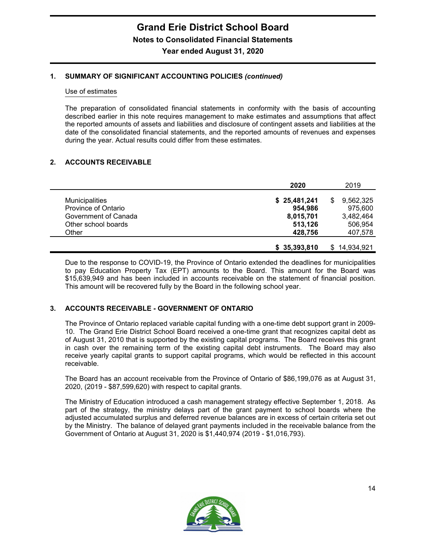#### Use of estimates

The preparation of consolidated financial statements in conformity with the basis of accounting described earlier in this note requires management to make estimates and assumptions that affect the reported amounts of assets and liabilities and disclosure of contingent assets and liabilities at the date of the consolidated financial statements, and the reported amounts of revenues and expenses during the year. Actual results could differ from these estimates.

# **2. ACCOUNTS RECEIVABLE**

|                       | 2020         | 2019           |
|-----------------------|--------------|----------------|
| <b>Municipalities</b> | \$25,481,241 | 9,562,325<br>S |
| Province of Ontario   | 954,986      | 975,600        |
| Government of Canada  | 8,015,701    | 3,482,464      |
| Other school boards   | 513,126      | 506,954        |
| Other                 | 428.756      | 407,578        |
|                       |              |                |
|                       | \$35,393,810 | 14,934,921     |

Due to the response to COVID-19, the Province of Ontario extended the deadlines for municipalities to pay Education Property Tax (EPT) amounts to the Board. This amount for the Board was \$15,639,949 and has been included in accounts receivable on the statement of financial position. This amount will be recovered fully by the Board in the following school year.

# **3. ACCOUNTS RECEIVABLE - GOVERNMENT OF ONTARIO**

The Province of Ontario replaced variable capital funding with a one-time debt support grant in 2009- 10. The Grand Erie District School Board received a one-time grant that recognizes capital debt as of August 31, 2010 that is supported by the existing capital programs. The Board receives this grant in cash over the remaining term of the existing capital debt instruments. The Board may also receive yearly capital grants to support capital programs, which would be reflected in this account receivable.

The Board has an account receivable from the Province of Ontario of \$86,199,076 as at August 31, 2020, (2019 - \$87,599,620) with respect to capital grants.

The Ministry of Education introduced a cash management strategy effective September 1, 2018. As part of the strategy, the ministry delays part of the grant payment to school boards where the adjusted accumulated surplus and deferred revenue balances are in excess of certain criteria set out by the Ministry. The balance of delayed grant payments included in the receivable balance from the Government of Ontario at August 31, 2020 is \$1,440,974 (2019 - \$1,016,793).

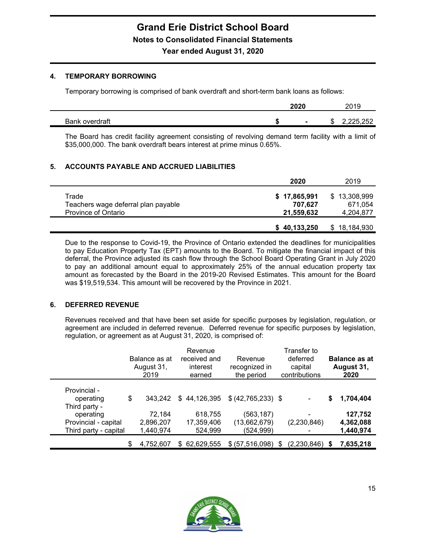### **4. TEMPORARY BORROWING**

Temporary borrowing is comprised of bank overdraft and short-term bank loans as follows:

|                          | 2020 |                | nn 1 r<br>15<br>ZU.               |
|--------------------------|------|----------------|-----------------------------------|
| <b>Rank</b><br>overdraft | -0   | $\blacksquare$ | ר אר<br>המימי<br>ш.<br>ے بے بے بے |

The Board has credit facility agreement consisting of revolving demand term facility with a limit of \$35,000,000. The bank overdraft bears interest at prime minus 0.65%.

# **5. ACCOUNTS PAYABLE AND ACCRUED LIABILITIES**

|                                                                     | 2020                                  | 2019                                 |
|---------------------------------------------------------------------|---------------------------------------|--------------------------------------|
| Trade<br>Teachers wage deferral plan payable<br>Province of Ontario | \$17,865,991<br>707,627<br>21,559,632 | \$13,308,999<br>671,054<br>4,204,877 |
|                                                                     | \$40,133,250                          | \$18,184,930                         |

Due to the response to Covid-19, the Province of Ontario extended the deadlines for municipalities to pay Education Property Tax (EPT) amounts to the Board. To mitigate the financial impact of this deferral, the Province adjusted its cash flow through the School Board Operating Grant in July 2020 to pay an additional amount equal to approximately 25% of the annual education property tax amount as forecasted by the Board in the 2019-20 Revised Estimates. This amount for the Board was \$19,519,534. This amount will be recovered by the Province in 2021.

# **6. DEFERRED REVENUE**

Revenues received and that have been set aside for specific purposes by legislation, regulation, or agreement are included in deferred revenue. Deferred revenue for specific purposes by legislation, regulation, or agreement as at August 31, 2020, is comprised of:

|                       | Balance as at<br>August 31,<br>2019 | Revenue<br>received and<br>interest<br>earned | Revenue<br>recognized in<br>the period | Transfer to<br>deferred<br>capital<br>contributions | <b>Balance as at</b><br>August 31,<br>2020 |
|-----------------------|-------------------------------------|-----------------------------------------------|----------------------------------------|-----------------------------------------------------|--------------------------------------------|
| Provincial -          |                                     |                                               |                                        |                                                     |                                            |
| operating             | \$<br>343.242                       | \$44,126,395                                  | \$ (42, 765, 233) \$                   |                                                     | \$<br>1,704,404                            |
| Third party -         |                                     |                                               |                                        |                                                     |                                            |
| operating             | 72,184                              | 618,755                                       | (563,187)                              | -                                                   | 127,752                                    |
| Provincial - capital  | 2,896,207                           | 17,359,406                                    | (13,662,679)                           | (2,230,846)                                         | 4,362,088                                  |
| Third party - capital | 1,440,974                           | 524,999                                       | (524,999)                              | ۰                                                   | 1,440,974                                  |
|                       | \$<br>4,752,607                     | \$ 62,629,555                                 | $$ (57,516,098)$ \$                    | $(2,230,846)$ \$                                    | 7,635,218                                  |

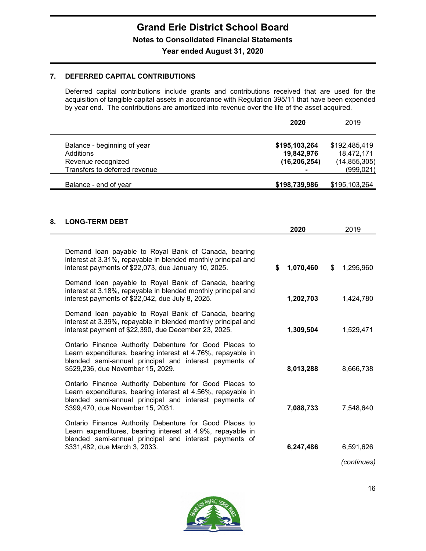# **7. DEFERRED CAPITAL CONTRIBUTIONS**

Deferred capital contributions include grants and contributions received that are used for the acquisition of tangible capital assets in accordance with Regulation 395/11 that have been expended by year end. The contributions are amortized into revenue over the life of the asset acquired.

|                                                                                                 | 2020                                                            | 2019                                                        |
|-------------------------------------------------------------------------------------------------|-----------------------------------------------------------------|-------------------------------------------------------------|
| Balance - beginning of year<br>Additions<br>Revenue recognized<br>Transfers to deferred revenue | \$195,103,264<br>19,842,976<br>(16, 206, 254)<br>$\blacksquare$ | \$192,485,419<br>18,472,171<br>(14, 855, 305)<br>(999, 021) |
| Balance - end of year                                                                           | \$198,739,986                                                   | \$195,103,264                                               |

# **8. LONG-TERM DEBT**

|                                                                                                                                                                                                                      | 2020            | 2019            |
|----------------------------------------------------------------------------------------------------------------------------------------------------------------------------------------------------------------------|-----------------|-----------------|
| Demand loan payable to Royal Bank of Canada, bearing<br>interest at 3.31%, repayable in blended monthly principal and<br>interest payments of \$22,073, due January 10, 2025.                                        | \$<br>1,070,460 | \$<br>1,295,960 |
| Demand loan payable to Royal Bank of Canada, bearing<br>interest at 3.18%, repayable in blended monthly principal and<br>interest payments of \$22,042, due July 8, 2025.                                            | 1,202,703       | 1,424,780       |
| Demand loan payable to Royal Bank of Canada, bearing<br>interest at 3.39%, repayable in blended monthly principal and<br>interest payment of \$22,390, due December 23, 2025.                                        | 1,309,504       | 1,529,471       |
| Ontario Finance Authority Debenture for Good Places to<br>Learn expenditures, bearing interest at 4.76%, repayable in<br>blended semi-annual principal and interest payments of<br>\$529,236, due November 15, 2029. | 8,013,288       | 8,666,738       |
| Ontario Finance Authority Debenture for Good Places to<br>Learn expenditures, bearing interest at 4.56%, repayable in<br>blended semi-annual principal and interest payments of<br>\$399,470, due November 15, 2031. | 7,088,733       | 7,548,640       |
| Ontario Finance Authority Debenture for Good Places to<br>Learn expenditures, bearing interest at 4.9%, repayable in<br>blended semi-annual principal and interest payments of                                       |                 |                 |
| \$331,482, due March 3, 2033.                                                                                                                                                                                        | 6,247,486       | 6,591,626       |
|                                                                                                                                                                                                                      |                 | (continues)     |

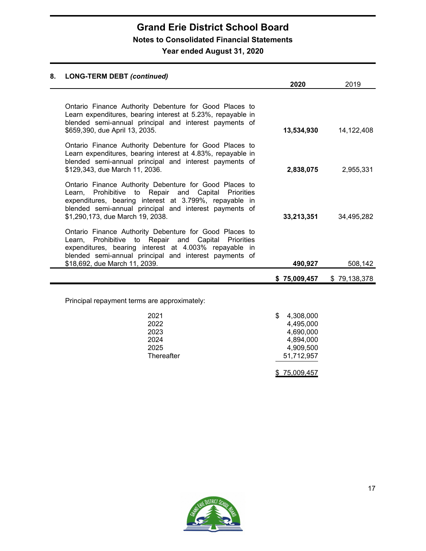# **Grand Erie District School Board Notes to Consolidated Financial Statements**

# **Year ended August 31, 2020**

# **8. LONG-TERM DEBT** *(continued)* **2020** 2019 Ontario Finance Authority Debenture for Good Places to Learn expenditures, bearing interest at 5.23%, repayable in blended semi-annual principal and interest payments of \$659,390, due April 13, 2035. **13,534,930** 14,122,408 Ontario Finance Authority Debenture for Good Places to Learn expenditures, bearing interest at 4.83%, repayable in blended semi-annual principal and interest payments of \$129,343, due March 11, 2036. **2,838,075** 2,955,331 Ontario Finance Authority Debenture for Good Places to Learn, Prohibitive to Repair and Capital Priorities expenditures, bearing interest at 3.799%, repayable in blended semi-annual principal and interest payments of \$1,290,173, due March 19, 2038. **33,213,351** 34,495,282 Ontario Finance Authority Debenture for Good Places to Learn, Prohibitive to Repair and Capital Priorities expenditures, bearing interest at 4.003% repayable in blended semi-annual principal and interest payments of \$18,692, due March 11, 2039. **490,927** 508,142 **\$ 75,009,457** \$ 79,138,378 Principal repayment terms are approximately: 2021 **\$** 4,308,000 2022 4,495,000 2023 4,690,000 2024 4,894,000 2025 4,909,500 Thereafter 51,712,957

\$ 75,009,457

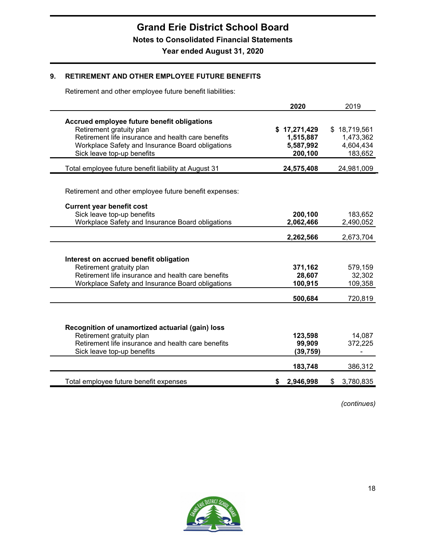# **9. RETIREMENT AND OTHER EMPLOYEE FUTURE BENEFITS**

Retirement and other employee future benefit liabilities:

|                                                                                                                                                                                                                 | 2020                                              | 2019                                              |
|-----------------------------------------------------------------------------------------------------------------------------------------------------------------------------------------------------------------|---------------------------------------------------|---------------------------------------------------|
| Accrued employee future benefit obligations<br>Retirement gratuity plan<br>Retirement life insurance and health care benefits<br>Workplace Safety and Insurance Board obligations<br>Sick leave top-up benefits | \$17,271,429<br>1,515,887<br>5,587,992<br>200,100 | \$18,719,561<br>1,473,362<br>4,604,434<br>183,652 |
| Total employee future benefit liability at August 31                                                                                                                                                            | 24,575,408                                        | 24,981,009                                        |
| Retirement and other employee future benefit expenses:<br><b>Current year benefit cost</b>                                                                                                                      |                                                   |                                                   |
| Sick leave top-up benefits                                                                                                                                                                                      | 200,100                                           | 183,652                                           |
| Workplace Safety and Insurance Board obligations                                                                                                                                                                | 2,062,466                                         | 2,490,052                                         |
|                                                                                                                                                                                                                 | 2,262,566                                         | 2,673,704                                         |
| Interest on accrued benefit obligation<br>Retirement gratuity plan<br>Retirement life insurance and health care benefits<br>Workplace Safety and Insurance Board obligations                                    | 371,162<br>28,607<br>100,915                      | 579,159<br>32,302<br>109,358                      |
|                                                                                                                                                                                                                 | 500,684                                           | 720,819                                           |
| Recognition of unamortized actuarial (gain) loss<br>Retirement gratuity plan<br>Retirement life insurance and health care benefits<br>Sick leave top-up benefits                                                | 123,598<br>99,909<br>(39, 759)<br>183,748         | 14,087<br>372,225<br>386,312                      |
| Total employee future benefit expenses                                                                                                                                                                          | 2,946,998<br>S.                                   | 3,780,835<br>\$                                   |

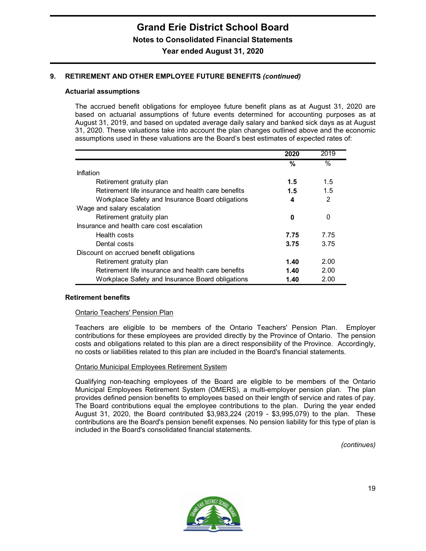# **9. RETIREMENT AND OTHER EMPLOYEE FUTURE BENEFITS** *(continued)*

#### **Actuarial assumptions**

The accrued benefit obligations for employee future benefit plans as at August 31, 2020 are based on actuarial assumptions of future events determined for accounting purposes as at August 31, 2019, and based on updated average daily salary and banked sick days as at August 31, 2020. These valuations take into account the plan changes outlined above and the economic assumptions used in these valuations are the Board's best estimates of expected rates of:

|                                                    | 2020 | 2019           |
|----------------------------------------------------|------|----------------|
|                                                    | %    | $\%$           |
| Inflation                                          |      |                |
| Retirement gratuity plan                           | 1.5  | 1.5            |
| Retirement life insurance and health care benefits | 1.5  | 1.5            |
| Workplace Safety and Insurance Board obligations   | 4    | $\overline{2}$ |
| Wage and salary escalation                         |      |                |
| Retirement gratuity plan                           | 0    | 0              |
| Insurance and health care cost escalation          |      |                |
| Health costs                                       | 7.75 | 7.75           |
| Dental costs                                       | 3.75 | 3.75           |
| Discount on accrued benefit obligations            |      |                |
| Retirement gratuity plan                           | 1.40 | 2.00           |
| Retirement life insurance and health care benefits | 1.40 | 2.00           |
| Workplace Safety and Insurance Board obligations   | 1.40 | 2.00           |

#### **Retirement benefits**

#### Ontario Teachers' Pension Plan

Teachers are eligible to be members of the Ontario Teachers' Pension Plan. Employer contributions for these employees are provided directly by the Province of Ontario. The pension costs and obligations related to this plan are a direct responsibility of the Province. Accordingly, no costs or liabilities related to this plan are included in the Board's financial statements.

#### Ontario Municipal Employees Retirement System

Qualifying non-teaching employees of the Board are eligible to be members of the Ontario Municipal Employees Retirement System (OMERS), a multi-employer pension plan. The plan provides defined pension benefits to employees based on their length of service and rates of pay. The Board contributions equal the employee contributions to the plan. During the year ended August 31, 2020, the Board contributed \$3,983,224 (2019 - \$3,995,079) to the plan. These contributions are the Board's pension benefit expenses. No pension liability for this type of plan is included in the Board's consolidated financial statements.

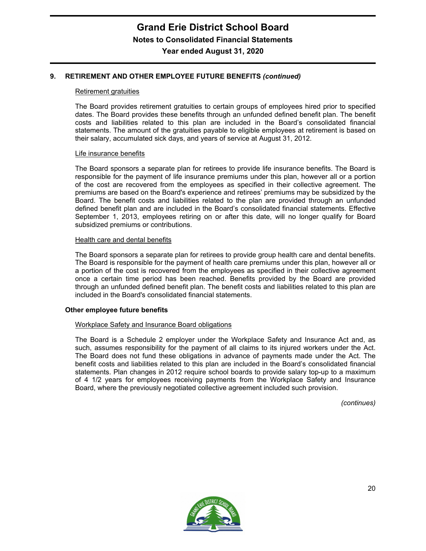# **9. RETIREMENT AND OTHER EMPLOYEE FUTURE BENEFITS** *(continued)*

#### Retirement gratuities

The Board provides retirement gratuities to certain groups of employees hired prior to specified dates. The Board provides these benefits through an unfunded defined benefit plan. The benefit costs and liabilities related to this plan are included in the Board's consolidated financial statements. The amount of the gratuities payable to eligible employees at retirement is based on their salary, accumulated sick days, and years of service at August 31, 2012.

#### Life insurance benefits

The Board sponsors a separate plan for retirees to provide life insurance benefits. The Board is responsible for the payment of life insurance premiums under this plan, however all or a portion of the cost are recovered from the employees as specified in their collective agreement. The premiums are based on the Board's experience and retirees' premiums may be subsidized by the Board. The benefit costs and liabilities related to the plan are provided through an unfunded defined benefit plan and are included in the Board's consolidated financial statements. Effective September 1, 2013, employees retiring on or after this date, will no longer qualify for Board subsidized premiums or contributions.

#### Health care and dental benefits

The Board sponsors a separate plan for retirees to provide group health care and dental benefits. The Board is responsible for the payment of health care premiums under this plan, however all or a portion of the cost is recovered from the employees as specified in their collective agreement once a certain time period has been reached. Benefits provided by the Board are provided through an unfunded defined benefit plan. The benefit costs and liabilities related to this plan are included in the Board's consolidated financial statements.

#### **Other employee future benefits**

#### Workplace Safety and Insurance Board obligations

The Board is a Schedule 2 employer under the Workplace Safety and Insurance Act and, as such, assumes responsibility for the payment of all claims to its injured workers under the Act. The Board does not fund these obligations in advance of payments made under the Act. The benefit costs and liabilities related to this plan are included in the Board's consolidated financial statements. Plan changes in 2012 require school boards to provide salary top-up to a maximum of 4 1/2 years for employees receiving payments from the Workplace Safety and Insurance Board, where the previously negotiated collective agreement included such provision.

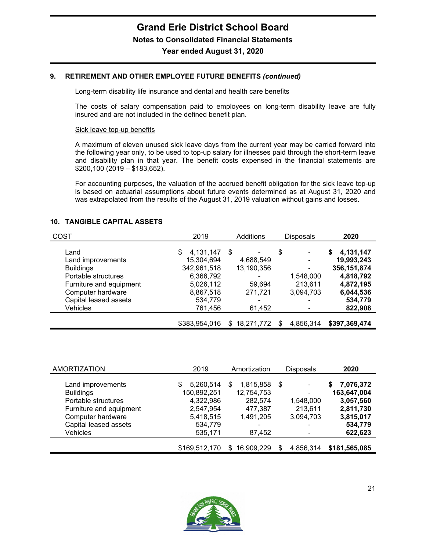### **9. RETIREMENT AND OTHER EMPLOYEE FUTURE BENEFITS** *(continued)*

#### Long-term disability life insurance and dental and health care benefits

The costs of salary compensation paid to employees on long-term disability leave are fully insured and are not included in the defined benefit plan.

#### Sick leave top-up benefits

A maximum of eleven unused sick leave days from the current year may be carried forward into the following year only, to be used to top-up salary for illnesses paid through the short-term leave and disability plan in that year. The benefit costs expensed in the financial statements are \$200,100 (2019 – \$183,652).

For accounting purposes, the valuation of the accrued benefit obligation for the sick leave top-up is based on actuarial assumptions about future events determined as at August 31, 2020 and was extrapolated from the results of the August 31, 2019 valuation without gains and losses.

#### **10. TANGIBLE CAPITAL ASSETS**

| <b>COST</b>             | 2019           | Additions<br><b>Disposals</b> |                | 2020           |
|-------------------------|----------------|-------------------------------|----------------|----------------|
| Land                    | 4,131,147<br>S | \$<br>۰                       | \$<br>۰        | 4,131,147<br>S |
| Land improvements       | 15,304,694     | 4,688,549                     | $\blacksquare$ | 19,993,243     |
| <b>Buildings</b>        | 342,961,518    | 13,190,356                    | ۰              | 356, 151, 874  |
| Portable structures     | 6,366,792      |                               | 1,548,000      | 4,818,792      |
| Furniture and equipment | 5,026,112      | 59,694                        | 213,611        | 4,872,195      |
| Computer hardware       | 8,867,518      | 271,721                       | 3,094,703      | 6,044,536      |
| Capital leased assets   | 534,779        |                               |                | 534,779        |
| Vehicles                | 761,456        | 61,452                        |                | 822,908        |
|                         |                |                               |                |                |
|                         | \$383,954,016  | 18,271,772<br>\$.             | 4,856,314      | \$397,369,474  |

| <b>AMORTIZATION</b>     | 2019           | Amortization     | <b>Disposals</b>         | 2020           |
|-------------------------|----------------|------------------|--------------------------|----------------|
|                         |                |                  |                          |                |
| Land improvements       | 5,260,514<br>S | 1,815,858<br>\$. | -\$<br>۰                 | 7,076,372<br>S |
| <b>Buildings</b>        | 150,892,251    | 12,754,753       | $\overline{\phantom{a}}$ | 163,647,004    |
| Portable structures     | 4,322,986      | 282,574          | 1,548,000                | 3,057,560      |
| Furniture and equipment | 2,547,954      | 477,387          | 213,611                  | 2,811,730      |
| Computer hardware       | 5,418,515      | 1,491,205        | 3,094,703                | 3,815,017      |
| Capital leased assets   | 534,779        |                  | -                        | 534,779        |
| Vehicles                | 535,171        | 87,452           | -                        | 622,623        |
|                         |                |                  |                          |                |
|                         | \$169,512,170  | 16,909,229<br>S  | 4,856,314                | \$181,565,085  |

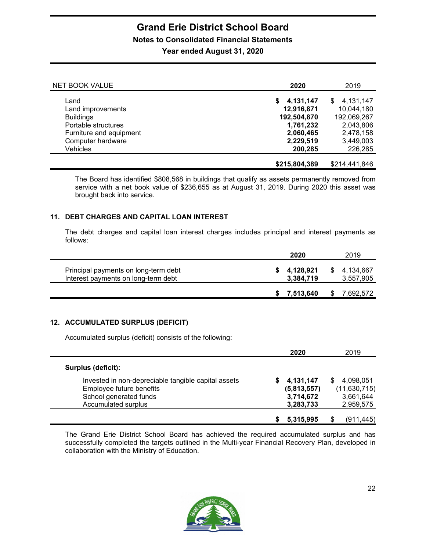# **Grand Erie District School Board Notes to Consolidated Financial Statements**

**Year ended August 31, 2020**

| <b>NET BOOK VALUE</b>                                              | 2020                                  | 2019                                  |
|--------------------------------------------------------------------|---------------------------------------|---------------------------------------|
| Land<br>Land improvements                                          | 4,131,147<br>S.<br>12,916,871         | \$4,131,147<br>10,044,180             |
| <b>Buildings</b><br>Portable structures<br>Furniture and equipment | 192,504,870<br>1,761,232<br>2,060,465 | 192,069,267<br>2,043,806<br>2,478,158 |
| Computer hardware<br>Vehicles                                      | 2,229,519<br>200,285                  | 3,449,003<br>226,285                  |
|                                                                    | \$215,804,389                         | \$214,441,846                         |

The Board has identified \$808,568 in buildings that qualify as assets permanently removed from service with a net book value of \$236,655 as at August 31, 2019. During 2020 this asset was brought back into service.

# **11. DEBT CHARGES AND CAPITAL LOAN INTEREST**

The debt charges and capital loan interest charges includes principal and interest payments as follows:

|                                                                             | 2020                   | 2019                   |
|-----------------------------------------------------------------------------|------------------------|------------------------|
| Principal payments on long-term debt<br>Interest payments on long-term debt | 4,128,921<br>3,384,719 | 4,134,667<br>3,557,905 |
|                                                                             | 7.513.640              | 7.692.572              |

# **12. ACCUMULATED SURPLUS (DEFICIT)**

Accumulated surplus (deficit) consists of the following:

|                                                     | 2020        | 2019         |
|-----------------------------------------------------|-------------|--------------|
| Surplus (deficit):                                  |             |              |
| Invested in non-depreciable tangible capital assets | 4,131,147   | 4,098,051    |
| Employee future benefits                            | (5,813,557) | (11,630,715) |
| School generated funds                              | 3,714,672   | 3,661,644    |
| Accumulated surplus                                 | 3,283,733   | 2,959,575    |
|                                                     | 5,315,995   | (911, 445)   |

The Grand Erie District School Board has achieved the required accumulated surplus and has successfully completed the targets outlined in the Multi-year Financial Recovery Plan, developed in collaboration with the Ministry of Education.

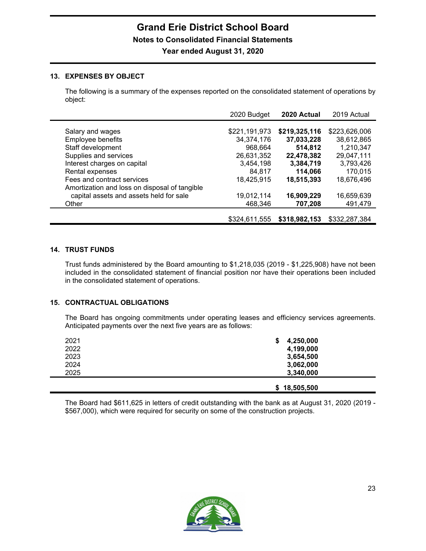# **13. EXPENSES BY OBJECT**

The following is a summary of the expenses reported on the consolidated statement of operations by object:

|                                                                             | 2020 Budget                 | 2020 Actual                 | 2019 Actual                 |
|-----------------------------------------------------------------------------|-----------------------------|-----------------------------|-----------------------------|
| Salary and wages<br>Employee benefits                                       | \$221,191,973<br>34,374,176 | \$219,325,116<br>37,033,228 | \$223,626,006<br>38,612,865 |
| Staff development                                                           | 968,664                     | 514,812                     | 1,210,347                   |
| Supplies and services<br>Interest charges on capital                        | 26,631,352<br>3,454,198     | 22,478,382<br>3,384,719     | 29,047,111<br>3,793,426     |
| Rental expenses                                                             | 84,817                      | 114,066                     | 170,015                     |
| Fees and contract services<br>Amortization and loss on disposal of tangible | 18,425,915                  | 18,515,393                  | 18,676,496                  |
| capital assets and assets held for sale                                     | 19,012,114                  | 16,909,229                  | 16,659,639                  |
| Other                                                                       | 468,346                     | 707,208                     | 491,479                     |
|                                                                             | \$324,611,555               | \$318,982,153               | \$332,287,384               |

# **14. TRUST FUNDS**

Trust funds administered by the Board amounting to \$1,218,035 (2019 - \$1,225,908) have not been included in the consolidated statement of financial position nor have their operations been included in the consolidated statement of operations.

# **15. CONTRACTUAL OBLIGATIONS**

The Board has ongoing commitments under operating leases and efficiency services agreements. Anticipated payments over the next five years are as follows:

| 2021 | 4,250,000    |
|------|--------------|
| 2022 | 4,199,000    |
| 2023 | 3,654,500    |
| 2024 | 3,062,000    |
| 2025 | 3,340,000    |
|      |              |
|      | \$18,505,500 |

The Board had \$611,625 in letters of credit outstanding with the bank as at August 31, 2020 (2019 - \$567,000), which were required for security on some of the construction projects.

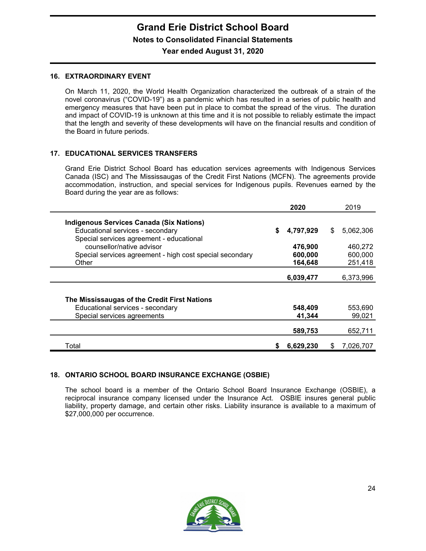# **Grand Erie District School Board Notes to Consolidated Financial Statements**

# **Year ended August 31, 2020**

#### **16. EXTRAORDINARY EVENT**

On March 11, 2020, the World Health Organization characterized the outbreak of a strain of the novel coronavirus ("COVID-19") as a pandemic which has resulted in a series of public health and emergency measures that have been put in place to combat the spread of the virus. The duration and impact of COVID-19 is unknown at this time and it is not possible to reliably estimate the impact that the length and severity of these developments will have on the financial results and condition of the Board in future periods.

# **17. EDUCATIONAL SERVICES TRANSFERS**

Grand Erie District School Board has education services agreements with Indigenous Services Canada (ISC) and The Mississaugas of the Credit First Nations (MCFN). The agreements provide accommodation, instruction, and special services for Indigenous pupils. Revenues earned by the Board during the year are as follows:

|                                                          |   | 2020      |    | 2019      |
|----------------------------------------------------------|---|-----------|----|-----------|
|                                                          |   |           |    |           |
| <b>Indigenous Services Canada (Six Nations)</b>          |   |           |    |           |
| Educational services - secondary                         | S | 4,797,929 | \$ | 5.062.306 |
| Special services agreement - educational                 |   |           |    |           |
| counsellor/native advisor                                |   | 476,900   |    | 460,272   |
| Special services agreement - high cost special secondary |   | 600,000   |    | 600,000   |
| Other                                                    |   | 164,648   |    | 251,418   |
|                                                          |   |           |    |           |
|                                                          |   | 6,039,477 |    | 6,373,996 |
|                                                          |   |           |    |           |
|                                                          |   |           |    |           |
| The Mississaugas of the Credit First Nations             |   |           |    |           |
| Educational services - secondary                         |   | 548,409   |    | 553,690   |
| Special services agreements                              |   | 41,344    |    | 99,021    |
|                                                          |   |           |    |           |
|                                                          |   | 589,753   |    | 652,711   |
|                                                          |   |           |    |           |
| Total                                                    |   | 6,629,230 | S  | 7.026.707 |

# **18. ONTARIO SCHOOL BOARD INSURANCE EXCHANGE (OSBIE)**

The school board is a member of the Ontario School Board Insurance Exchange (OSBIE), a reciprocal insurance company licensed under the Insurance Act. OSBIE insures general public liability, property damage, and certain other risks. Liability insurance is available to a maximum of \$27,000,000 per occurrence.